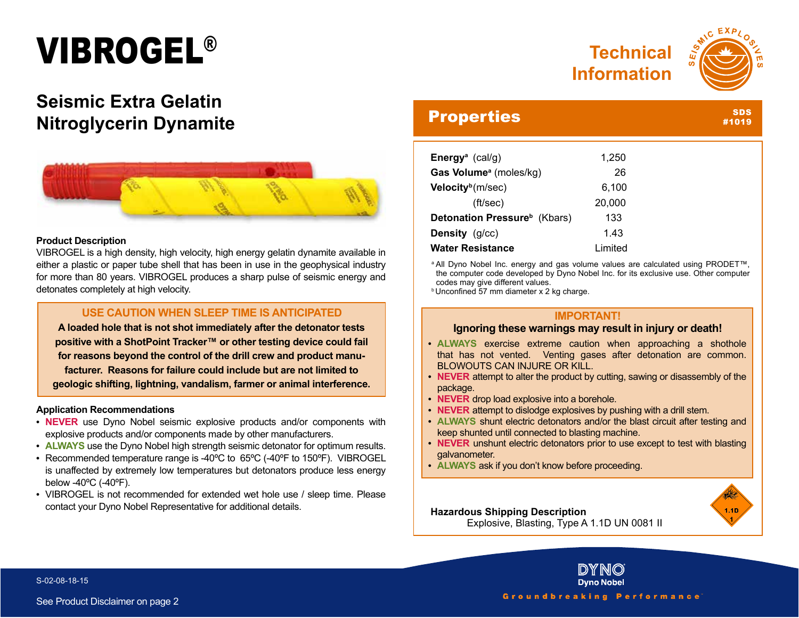# VIBROGEL®



SDS #1019

## **Seismic Extra Gelatin Nitroglycerin Dynamite**



#### **Product Description**

VIBROGEL is a high density, high velocity, high energy gelatin dynamite available in either a plastic or paper tube shell that has been in use in the geophysical industry for more than 80 years. VIBROGEL produces a sharp pulse of seismic energy and detonates completely at high velocity.

### **USE CAUTION WHEN SLEEP TIME IS ANTICIPATED**

**A loaded hole that is not shot immediately after the detonator tests positive with a ShotPoint Tracker™ or other testing device could fail for reasons beyond the control of the drill crew and product manufacturer. Reasons for failure could include but are not limited to geologic shifting, lightning, vandalism, farmer or animal interference.**

#### **Application Recommendations**

- **• NEVER** use Dyno Nobel seismic explosive products and/or components with explosive products and/or components made by other manufacturers.
- **• ALWAYS** use the Dyno Nobel high strength seismic detonator for optimum results.
- **•** Recommended temperature range is -40ºC to 65ºC (-40ºF to 150ºF). VIBROGEL is unaffected by extremely low temperatures but detonators produce less energy below -40ºC (-40ºF).
- **•** VIBROGEL is not recommended for extended wet hole use / sleep time. Please contact your Dyno Nobel Representative for additional details.

### **Properties**

| Energy <sup>a</sup> (cal/g)              | 1,250   |
|------------------------------------------|---------|
| Gas Volume <sup>a</sup> (moles/kg)       | 26      |
| Velocity <sup>b</sup> (m/sec)            | 6,100   |
| (ft/sec)                                 | 20,000  |
| Detonation Pressure <sup>b</sup> (Kbars) | 133     |
| Density (g/cc)                           | 1.43    |
| <b>Water Resistance</b>                  | Limited |

a All Dyno Nobel Inc. energy and gas volume values are calculated using PRODET<sup>™</sup>, the computer code developed by Dyno Nobel Inc. for its exclusive use. Other computer codes may give different values.

**b** Unconfined 57 mm diameter x 2 kg charge.

#### **IMPORTANT!**

#### **Ignoring these warnings may result in injury or death!**

- **• ALWAYS** exercise extreme caution when approaching a shothole that has not vented. Venting gases after detonation are common. BLOWOUTS CAN INJURE OR KILL.
- **• NEVER** attempt to alter the product by cutting, sawing or disassembly of the package.
- **• NEVER** drop load explosive into a borehole.
- **• NEVER** attempt to dislodge explosives by pushing with a drill stem.
- **• ALWAYS** shunt electric detonators and/or the blast circuit after testing and keep shunted until connected to blasting machine.
- **• NEVER** unshunt electric detonators prior to use except to test with blasting galvanometer.
- **• ALWAYS** ask if you don't know before proceeding.



**Hazardous Shipping Description** Explosive, Blasting, Type A 1.1D UN 0081 II

S-02-08-18-15

**Dyno Nobel** Groundbreaking Performance

IDIY NIO